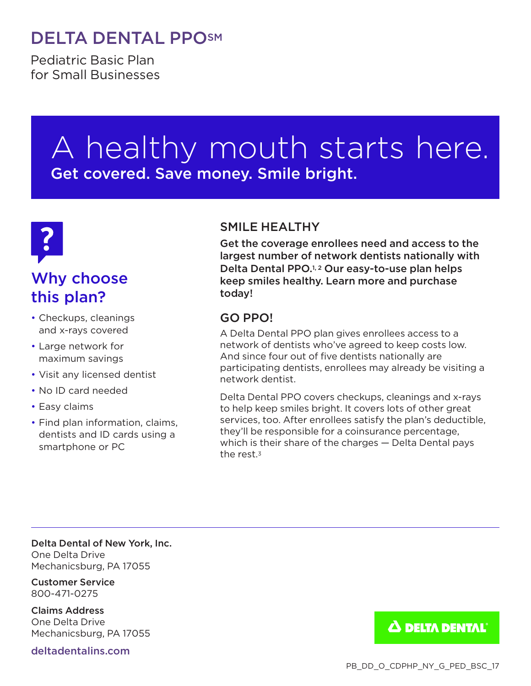## DELTA DENTAL PPOSM

Pediatric Basic Plan for Small Businesses

# A healthy mouth starts here. Get covered. Save money. Smile bright.



## Why choose this plan?

- Checkups, cleanings and x-rays covered
- Large network for maximum savings
- Visit any licensed dentist
- No ID card needed
- Easy claims
- Find plan information, claims, dentists and ID cards using a smartphone or PC

### SMILE HEALTHY

Get the coverage enrollees need and access to the largest number of network dentists nationally with Delta Dental PPO.1, 2 Our easy-to-use plan helps keep smiles healthy. Learn more and purchase today!

### GO PPO!

A Delta Dental PPO plan gives enrollees access to a network of dentists who've agreed to keep costs low. And since four out of five dentists nationally are participating dentists, enrollees may already be visiting a network dentist.

Delta Dental PPO covers checkups, cleanings and x-rays to help keep smiles bright. It covers lots of other great services, too. After enrollees satisfy the plan's deductible, they'll be responsible for a coinsurance percentage, which is their share of the charges — Delta Dental pays the rest.<sup>3</sup>

Delta Dental of New York, Inc. One Delta Drive Mechanicsburg, PA 17055

Customer Service 800-471-0275

Claims Address One Delta Drive Mechanicsburg, PA 17055

deltadentalins.com

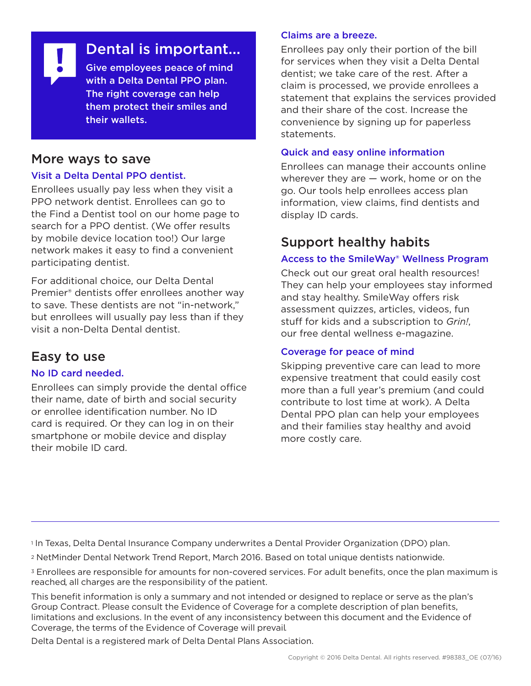Dental is important... Give employees peace of mind

with a Delta Dental PPO plan. The right coverage can help them protect their smiles and their wallets.

### More ways to save

#### Visit a Delta Dental PPO dentist.

Enrollees usually pay less when they visit a PPO network dentist. Enrollees can go to the Find a Dentist tool on our home page to search for a PPO dentist. (We offer results by mobile device location too!) Our large network makes it easy to find a convenient participating dentist.

For additional choice, our Delta Dental Premier® dentists offer enrollees another way to save. These dentists are not "in-network," but enrollees will usually pay less than if they visit a non-Delta Dental dentist.

## Easy to use

#### No ID card needed.

Enrollees can simply provide the dental office their name, date of birth and social security or enrollee identification number. No ID card is required. Or they can log in on their smartphone or mobile device and display their mobile ID card.

#### Claims are a breeze.

Enrollees pay only their portion of the bill for services when they visit a Delta Dental dentist; we take care of the rest. After a claim is processed, we provide enrollees a statement that explains the services provided and their share of the cost. Increase the convenience by signing up for paperless statements.

#### Quick and easy online information

Enrollees can manage their accounts online wherever they are — work, home or on the go. Our tools help enrollees access plan information, view claims, find dentists and display ID cards.

## Support healthy habits

#### Access to the SmileWay® Wellness Program

Check out our great oral health resources! They can help your employees stay informed and stay healthy. SmileWay offers risk assessment quizzes, articles, videos, fun stuff for kids and a subscription to *Grin!*, our free dental wellness e-magazine.

#### Coverage for peace of mind

Skipping preventive care can lead to more expensive treatment that could easily cost more than a full year's premium (and could contribute to lost time at work). A Delta Dental PPO plan can help your employees and their families stay healthy and avoid more costly care.

<sup>1</sup> In Texas, Delta Dental Insurance Company underwrites a Dental Provider Organization (DPO) plan.

<sup>2</sup> NetMinder Dental Network Trend Report, March 2016. Based on total unique dentists nationwide.

<sup>3</sup> Enrollees are responsible for amounts for non-covered services. For adult benefits, once the plan maximum is reached, all charges are the responsibility of the patient.

This benefit information is only a summary and not intended or designed to replace or serve as the plan's Group Contract. Please consult the Evidence of Coverage for a complete description of plan benefits, limitations and exclusions. In the event of any inconsistency between this document and the Evidence of Coverage, the terms of the Evidence of Coverage will prevail.

Delta Dental is a registered mark of Delta Dental Plans Association.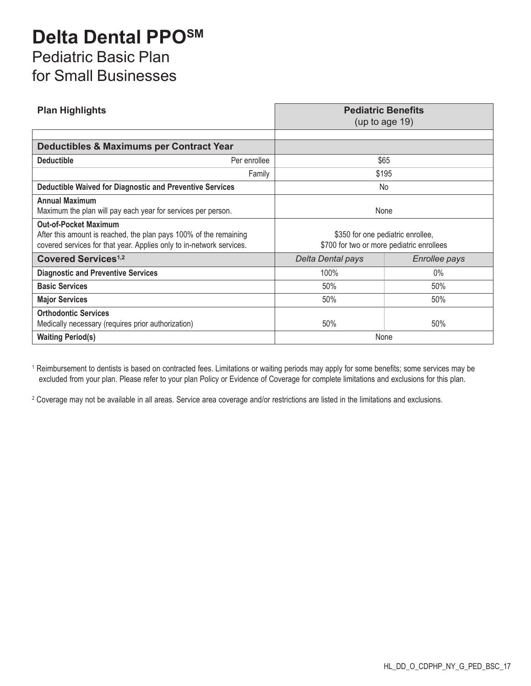## **Delta Dental PPOSM** Pediatric Basic Plan for Small Businesses

| <b>Plan Highlights</b>                                                                                                                                                    |              | <b>Pediatric Benefits</b><br>(up to age $19$ )                                 |               |  |
|---------------------------------------------------------------------------------------------------------------------------------------------------------------------------|--------------|--------------------------------------------------------------------------------|---------------|--|
|                                                                                                                                                                           |              |                                                                                |               |  |
| <b>Deductibles &amp; Maximums per Contract Year</b>                                                                                                                       |              |                                                                                |               |  |
| <b>Deductible</b>                                                                                                                                                         | Per enrollee | \$65                                                                           |               |  |
|                                                                                                                                                                           | Family       | \$195                                                                          |               |  |
| <b>Deductible Waived for Diagnostic and Preventive Services</b>                                                                                                           |              | No.                                                                            |               |  |
| <b>Annual Maximum</b><br>Maximum the plan will pay each year for services per person.                                                                                     |              | None                                                                           |               |  |
| <b>Out-of-Pocket Maximum</b><br>After this amount is reached, the plan pays 100% of the remaining<br>covered services for that year. Applies only to in-network services. |              | \$350 for one pediatric enrollee,<br>\$700 for two or more pediatric enrollees |               |  |
| <b>Covered Services<sup>1,2</sup></b>                                                                                                                                     |              | Delta Dental pays                                                              | Enrollee pays |  |
| <b>Diagnostic and Preventive Services</b>                                                                                                                                 |              | 100%                                                                           | $0\%$         |  |
| <b>Basic Services</b>                                                                                                                                                     |              | 50%                                                                            | 50%           |  |
| <b>Major Services</b>                                                                                                                                                     |              | 50%                                                                            | 50%           |  |
| <b>Orthodontic Services</b><br>Medically necessary (requires prior authorization)                                                                                         |              | 50%                                                                            | 50%           |  |
| <b>Waiting Period(s)</b>                                                                                                                                                  |              | None                                                                           |               |  |

<sup>1</sup> Reimbursement to dentists is based on contracted fees. Limitations or waiting periods may apply for some benefits; some services may be excluded from your plan. Please refer to your plan Policy or Evidence of Coverage for complete limitations and exclusions for this plan.

<sup>2</sup> Coverage may not be available in all areas. Service area coverage and/or restrictions are listed in the limitations and exclusions.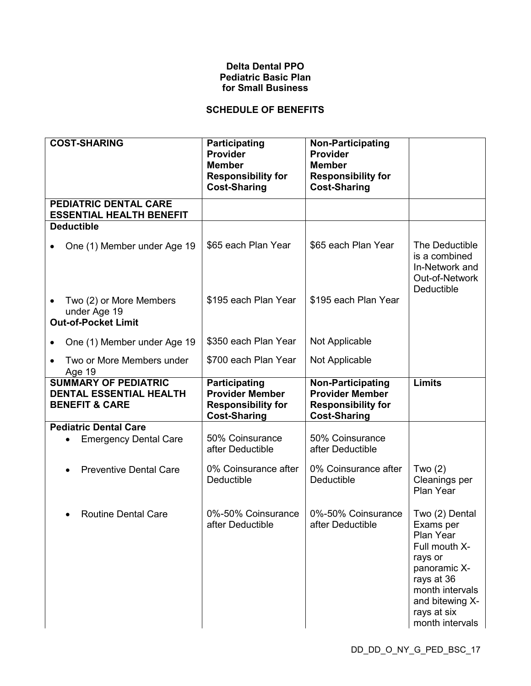#### **Delta Dental PPO Pediatric Basic Plan for Small Business**

#### **SCHEDULE OF BENEFITS**

| <b>COST-SHARING</b>                                                                 | Participating                                                                               | <b>Non-Participating</b>                                                                               |                                                                                                                                                                            |
|-------------------------------------------------------------------------------------|---------------------------------------------------------------------------------------------|--------------------------------------------------------------------------------------------------------|----------------------------------------------------------------------------------------------------------------------------------------------------------------------------|
|                                                                                     | <b>Provider</b><br><b>Member</b><br><b>Responsibility for</b><br><b>Cost-Sharing</b>        | <b>Provider</b><br><b>Member</b><br><b>Responsibility for</b><br><b>Cost-Sharing</b>                   |                                                                                                                                                                            |
| PEDIATRIC DENTAL CARE<br><b>ESSENTIAL HEALTH BENEFIT</b>                            |                                                                                             |                                                                                                        |                                                                                                                                                                            |
| <b>Deductible</b>                                                                   |                                                                                             |                                                                                                        |                                                                                                                                                                            |
| One (1) Member under Age 19                                                         | \$65 each Plan Year                                                                         | \$65 each Plan Year                                                                                    | The Deductible<br>is a combined<br>In-Network and<br>Out-of-Network<br>Deductible                                                                                          |
| Two (2) or More Members<br>under Age 19<br><b>Out-of-Pocket Limit</b>               | \$195 each Plan Year                                                                        | \$195 each Plan Year                                                                                   |                                                                                                                                                                            |
| One (1) Member under Age 19                                                         | \$350 each Plan Year                                                                        | Not Applicable                                                                                         |                                                                                                                                                                            |
| Two or More Members under<br>Age 19                                                 | \$700 each Plan Year                                                                        | Not Applicable                                                                                         |                                                                                                                                                                            |
| <b>SUMMARY OF PEDIATRIC</b><br>DENTAL ESSENTIAL HEALTH<br><b>BENEFIT &amp; CARE</b> | Participating<br><b>Provider Member</b><br><b>Responsibility for</b><br><b>Cost-Sharing</b> | <b>Non-Participating</b><br><b>Provider Member</b><br><b>Responsibility for</b><br><b>Cost-Sharing</b> | Limits                                                                                                                                                                     |
| <b>Pediatric Dental Care</b>                                                        |                                                                                             |                                                                                                        |                                                                                                                                                                            |
| <b>Emergency Dental Care</b>                                                        | 50% Coinsurance<br>after Deductible                                                         | 50% Coinsurance<br>after Deductible                                                                    |                                                                                                                                                                            |
| <b>Preventive Dental Care</b>                                                       | 0% Coinsurance after<br>Deductible                                                          | 0% Coinsurance after<br>Deductible                                                                     | Two $(2)$<br>Cleanings per<br>Plan Year                                                                                                                                    |
| <b>Routine Dental Care</b>                                                          | 0%-50% Coinsurance<br>after Deductible                                                      | 0%-50% Coinsurance<br>after Deductible                                                                 | Two (2) Dental<br>Exams per<br>Plan Year<br>Full mouth X-<br>rays or<br>panoramic X-<br>rays at 36<br>month intervals<br>and bitewing X-<br>rays at six<br>month intervals |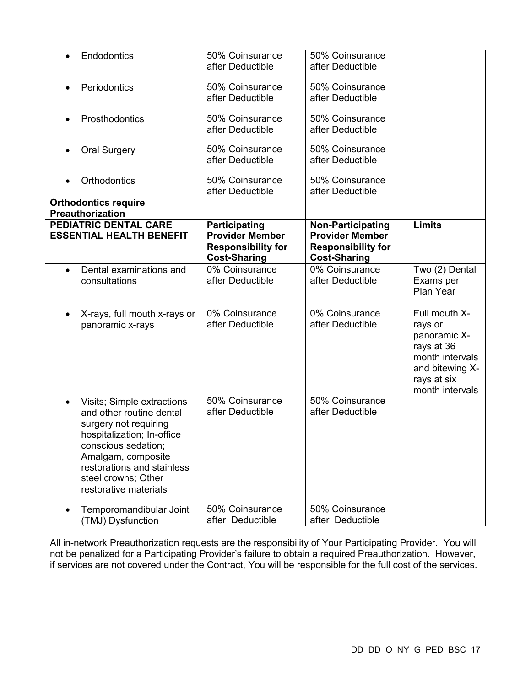| Endodontics                                                                                                                                                                                                                              | 50% Coinsurance<br>after Deductible                                                         | 50% Coinsurance<br>after Deductible                                                                    |                                                                                                                                |
|------------------------------------------------------------------------------------------------------------------------------------------------------------------------------------------------------------------------------------------|---------------------------------------------------------------------------------------------|--------------------------------------------------------------------------------------------------------|--------------------------------------------------------------------------------------------------------------------------------|
| Periodontics                                                                                                                                                                                                                             | 50% Coinsurance<br>after Deductible                                                         | 50% Coinsurance<br>after Deductible                                                                    |                                                                                                                                |
| Prosthodontics                                                                                                                                                                                                                           | 50% Coinsurance<br>after Deductible                                                         | 50% Coinsurance<br>after Deductible                                                                    |                                                                                                                                |
| <b>Oral Surgery</b>                                                                                                                                                                                                                      | 50% Coinsurance<br>after Deductible                                                         | 50% Coinsurance<br>after Deductible                                                                    |                                                                                                                                |
| Orthodontics                                                                                                                                                                                                                             | 50% Coinsurance<br>after Deductible                                                         | 50% Coinsurance<br>after Deductible                                                                    |                                                                                                                                |
| <b>Orthodontics require</b><br>Preauthorization                                                                                                                                                                                          |                                                                                             |                                                                                                        |                                                                                                                                |
| PEDIATRIC DENTAL CARE<br><b>ESSENTIAL HEALTH BENEFIT</b>                                                                                                                                                                                 | Participating<br><b>Provider Member</b><br><b>Responsibility for</b><br><b>Cost-Sharing</b> | <b>Non-Participating</b><br><b>Provider Member</b><br><b>Responsibility for</b><br><b>Cost-Sharing</b> | <b>Limits</b>                                                                                                                  |
| Dental examinations and<br>$\bullet$<br>consultations                                                                                                                                                                                    | 0% Coinsurance<br>after Deductible                                                          | 0% Coinsurance<br>after Deductible                                                                     | Two (2) Dental<br>Exams per<br>Plan Year                                                                                       |
| X-rays, full mouth x-rays or<br>$\bullet$<br>panoramic x-rays                                                                                                                                                                            | 0% Coinsurance<br>after Deductible                                                          | 0% Coinsurance<br>after Deductible                                                                     | Full mouth X-<br>rays or<br>panoramic X-<br>rays at 36<br>month intervals<br>and bitewing X-<br>rays at six<br>month intervals |
| Visits; Simple extractions<br>and other routine dental<br>surgery not requiring<br>hospitalization; In-office<br>conscious sedation;<br>Amalgam, composite<br>restorations and stainless<br>steel crowns; Other<br>restorative materials | 50% Coinsurance<br>after Deductible                                                         | 50% Coinsurance<br>after Deductible                                                                    |                                                                                                                                |
| Temporomandibular Joint<br>(TMJ) Dysfunction                                                                                                                                                                                             | 50% Coinsurance<br>after Deductible                                                         | 50% Coinsurance<br>after Deductible                                                                    |                                                                                                                                |

All in-network Preauthorization requests are the responsibility of Your Participating Provider. You will not be penalized for a Participating Provider's failure to obtain a required Preauthorization. However, if services are not covered under the Contract, You will be responsible for the full cost of the services.